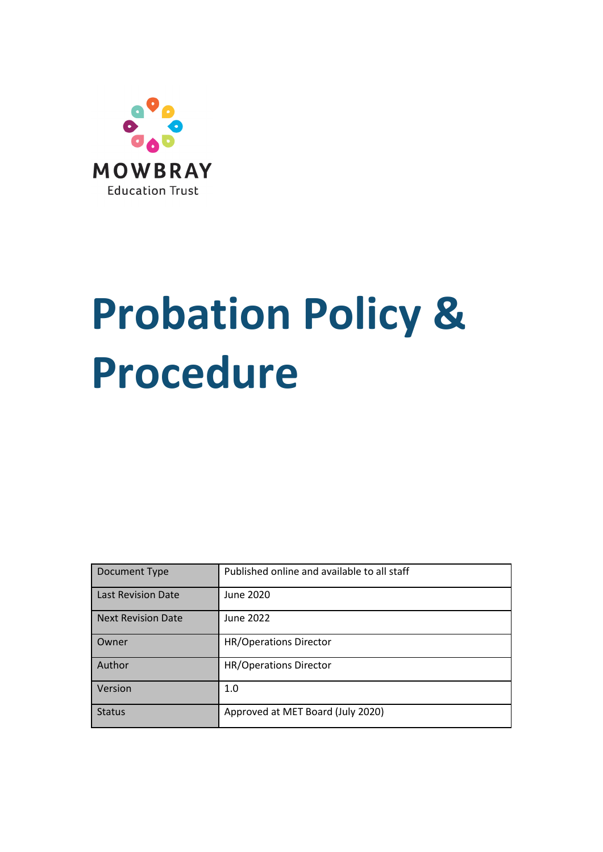

# **Probation Policy & Procedure**

| Document Type             | Published online and available to all staff |
|---------------------------|---------------------------------------------|
| <b>Last Revision Date</b> | June 2020                                   |
| <b>Next Revision Date</b> | June 2022                                   |
| Owner                     | <b>HR/Operations Director</b>               |
| Author                    | <b>HR/Operations Director</b>               |
| Version                   | 1.0                                         |
| <b>Status</b>             | Approved at MET Board (July 2020)           |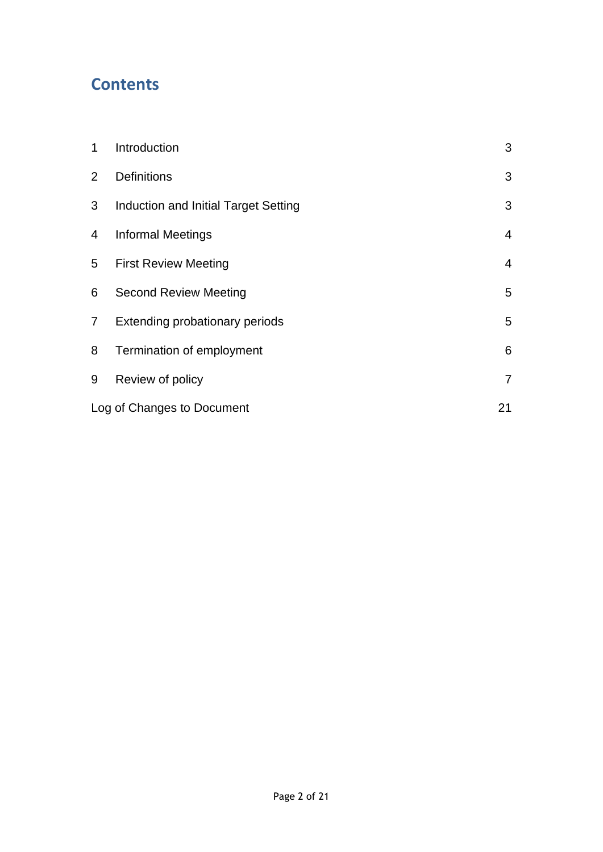# **Contents**

| 1              | Introduction                         | 3              |
|----------------|--------------------------------------|----------------|
| $\overline{2}$ | <b>Definitions</b>                   | 3              |
| 3              | Induction and Initial Target Setting | 3              |
| 4              | <b>Informal Meetings</b>             | $\overline{4}$ |
| 5              | <b>First Review Meeting</b>          | 4              |
| 6              | <b>Second Review Meeting</b>         | 5              |
| $\overline{7}$ | Extending probationary periods       | 5              |
| 8              | Termination of employment            | 6              |
| 9              | Review of policy                     | 7              |
|                | Log of Changes to Document           | 21             |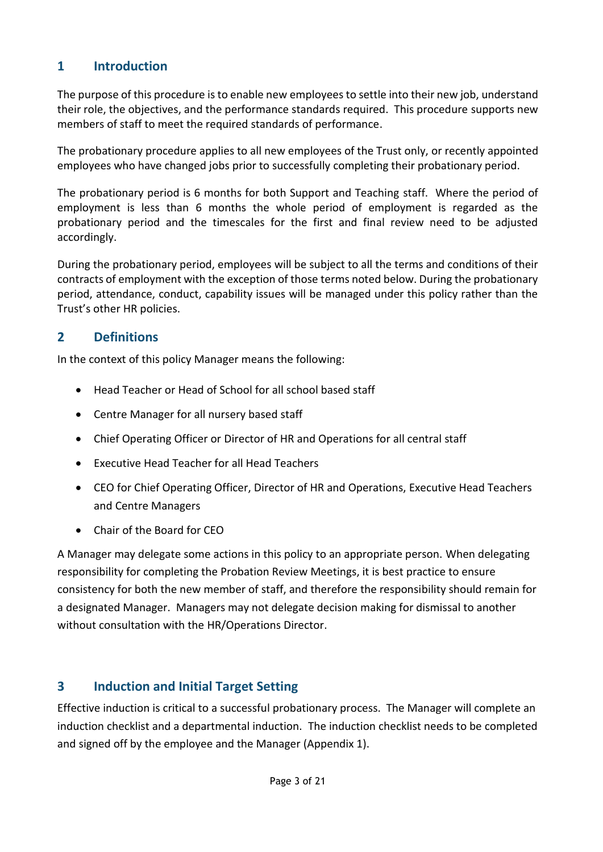# <span id="page-2-0"></span>**1 Introduction**

The purpose of this procedure is to enable new employees to settle into their new job, understand their role, the objectives, and the performance standards required. This procedure supports new members of staff to meet the required standards of performance.

The probationary procedure applies to all new employees of the Trust only, or recently appointed employees who have changed jobs prior to successfully completing their probationary period.

The probationary period is 6 months for both Support and Teaching staff. Where the period of employment is less than 6 months the whole period of employment is regarded as the probationary period and the timescales for the first and final review need to be adjusted accordingly.

During the probationary period, employees will be subject to all the terms and conditions of their contracts of employment with the exception of those terms noted below. During the probationary period, attendance, conduct, capability issues will be managed under this policy rather than the Trust's other HR policies.

# <span id="page-2-1"></span>**2 Definitions**

In the context of this policy Manager means the following:

- Head Teacher or Head of School for all school based staff
- Centre Manager for all nursery based staff
- Chief Operating Officer or Director of HR and Operations for all central staff
- Executive Head Teacher for all Head Teachers
- CEO for Chief Operating Officer, Director of HR and Operations, Executive Head Teachers and Centre Managers
- Chair of the Board for CEO

A Manager may delegate some actions in this policy to an appropriate person. When delegating responsibility for completing the Probation Review Meetings, it is best practice to ensure consistency for both the new member of staff, and therefore the responsibility should remain for a designated Manager. Managers may not delegate decision making for dismissal to another without consultation with the HR/Operations Director.

# <span id="page-2-2"></span>**3 Induction and Initial Target Setting**

Effective induction is critical to a successful probationary process. The Manager will complete an induction checklist and a departmental induction. The induction checklist needs to be completed and signed off by the employee and the Manager (Appendix 1).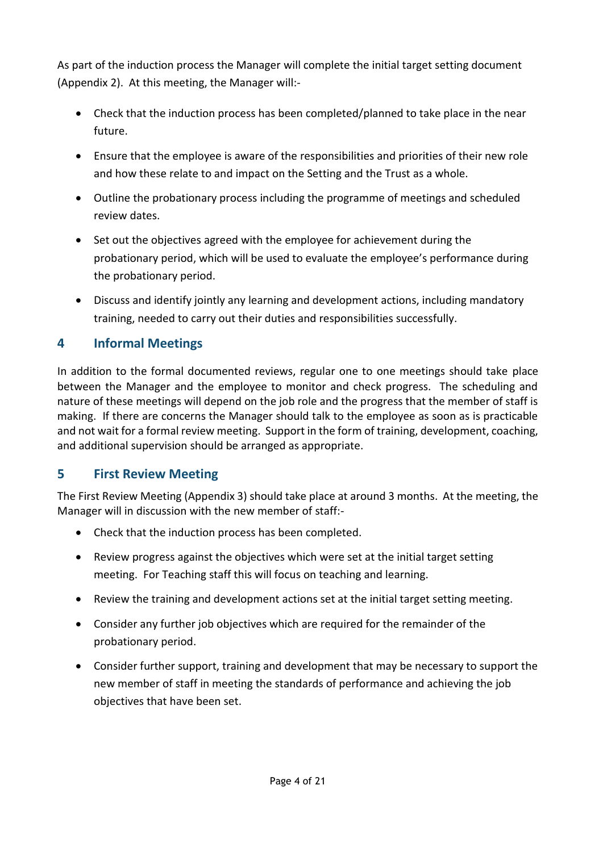As part of the induction process the Manager will complete the initial target setting document (Appendix 2). At this meeting, the Manager will:-

- Check that the induction process has been completed/planned to take place in the near future.
- Ensure that the employee is aware of the responsibilities and priorities of their new role and how these relate to and impact on the Setting and the Trust as a whole.
- Outline the probationary process including the programme of meetings and scheduled review dates.
- Set out the objectives agreed with the employee for achievement during the probationary period, which will be used to evaluate the employee's performance during the probationary period.
- Discuss and identify jointly any learning and development actions, including mandatory training, needed to carry out their duties and responsibilities successfully.

# <span id="page-3-0"></span>**4 Informal Meetings**

In addition to the formal documented reviews, regular one to one meetings should take place between the Manager and the employee to monitor and check progress. The scheduling and nature of these meetings will depend on the job role and the progress that the member of staff is making. If there are concerns the Manager should talk to the employee as soon as is practicable and not wait for a formal review meeting. Support in the form of training, development, coaching, and additional supervision should be arranged as appropriate.

# <span id="page-3-1"></span>**5 First Review Meeting**

The First Review Meeting (Appendix 3) should take place at around 3 months. At the meeting, the Manager will in discussion with the new member of staff:-

- Check that the induction process has been completed.
- Review progress against the objectives which were set at the initial target setting meeting. For Teaching staff this will focus on teaching and learning.
- Review the training and development actions set at the initial target setting meeting.
- Consider any further job objectives which are required for the remainder of the probationary period.
- Consider further support, training and development that may be necessary to support the new member of staff in meeting the standards of performance and achieving the job objectives that have been set.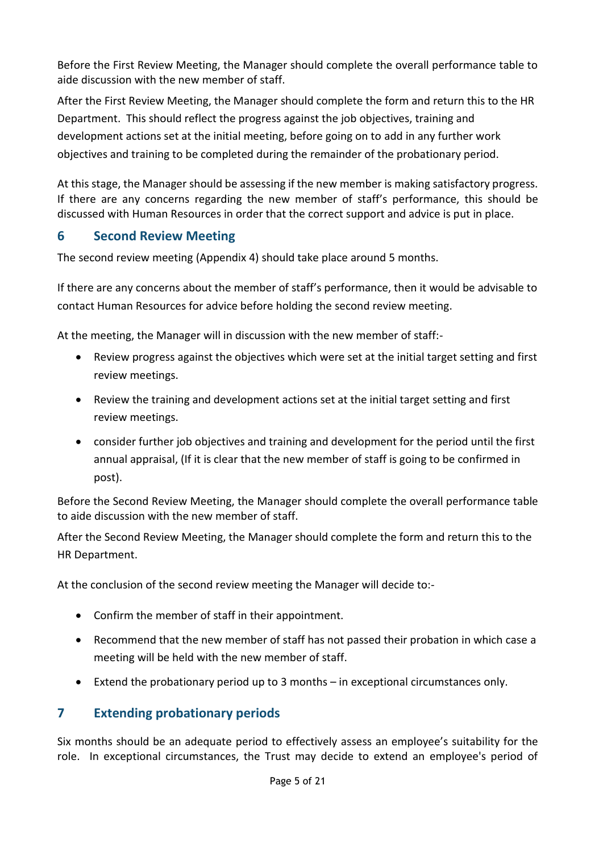Before the First Review Meeting, the Manager should complete the overall performance table to aide discussion with the new member of staff.

After the First Review Meeting, the Manager should complete the form and return this to the HR Department. This should reflect the progress against the job objectives, training and development actions set at the initial meeting, before going on to add in any further work objectives and training to be completed during the remainder of the probationary period.

At this stage, the Manager should be assessing if the new member is making satisfactory progress. If there are any concerns regarding the new member of staff's performance, this should be discussed with Human Resources in order that the correct support and advice is put in place.

# <span id="page-4-0"></span>**6 Second Review Meeting**

The second review meeting (Appendix 4) should take place around 5 months.

If there are any concerns about the member of staff's performance, then it would be advisable to contact Human Resources for advice before holding the second review meeting.

At the meeting, the Manager will in discussion with the new member of staff:-

- Review progress against the objectives which were set at the initial target setting and first review meetings.
- Review the training and development actions set at the initial target setting and first review meetings.
- consider further job objectives and training and development for the period until the first annual appraisal, (If it is clear that the new member of staff is going to be confirmed in post).

Before the Second Review Meeting, the Manager should complete the overall performance table to aide discussion with the new member of staff.

After the Second Review Meeting, the Manager should complete the form and return this to the HR Department.

At the conclusion of the second review meeting the Manager will decide to:-

- Confirm the member of staff in their appointment.
- Recommend that the new member of staff has not passed their probation in which case a meeting will be held with the new member of staff.
- Extend the probationary period up to 3 months in exceptional circumstances only.

# <span id="page-4-1"></span>**7 Extending probationary periods**

Six months should be an adequate period to effectively assess an employee's suitability for the role. In exceptional circumstances, the Trust may decide to extend an employee's period of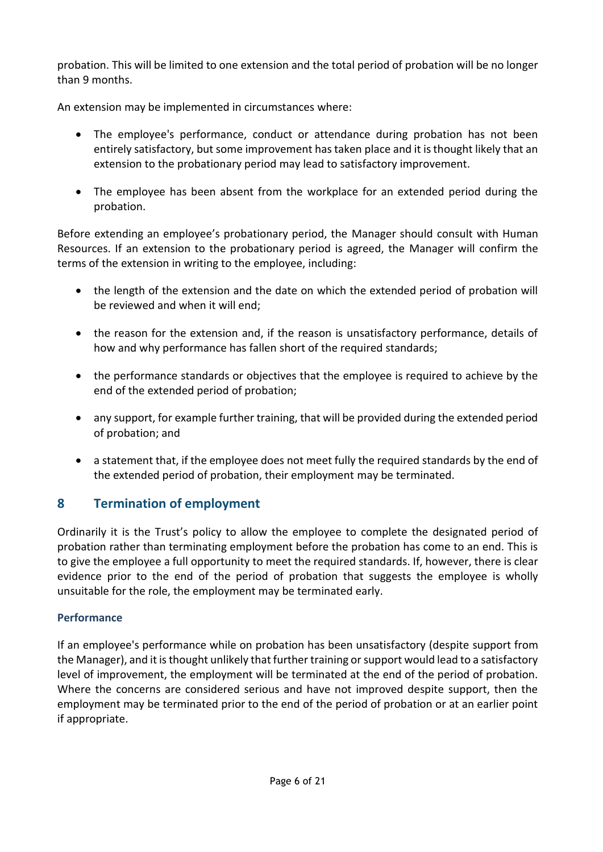probation. This will be limited to one extension and the total period of probation will be no longer than 9 months.

An extension may be implemented in circumstances where:

- The employee's performance, conduct or attendance during probation has not been entirely satisfactory, but some improvement has taken place and it is thought likely that an extension to the probationary period may lead to satisfactory improvement.
- The employee has been absent from the workplace for an extended period during the probation.

Before extending an employee's probationary period, the Manager should consult with Human Resources. If an extension to the probationary period is agreed, the Manager will confirm the terms of the extension in writing to the employee, including:

- the length of the extension and the date on which the extended period of probation will be reviewed and when it will end;
- the reason for the extension and, if the reason is unsatisfactory performance, details of how and why performance has fallen short of the required standards;
- the performance standards or objectives that the employee is required to achieve by the end of the extended period of probation;
- any support, for example further training, that will be provided during the extended period of probation; and
- a statement that, if the employee does not meet fully the required standards by the end of the extended period of probation, their employment may be terminated.

# <span id="page-5-0"></span>**8 Termination of employment**

Ordinarily it is the Trust's policy to allow the employee to complete the designated period of probation rather than terminating employment before the probation has come to an end. This is to give the employee a full opportunity to meet the required standards. If, however, there is clear evidence prior to the end of the period of probation that suggests the employee is wholly unsuitable for the role, the employment may be terminated early.

#### **Performance**

If an employee's performance while on probation has been unsatisfactory (despite support from the Manager), and it is thought unlikely that further training or support would lead to a satisfactory level of improvement, the employment will be terminated at the end of the period of probation. Where the concerns are considered serious and have not improved despite support, then the employment may be terminated prior to the end of the period of probation or at an earlier point if appropriate.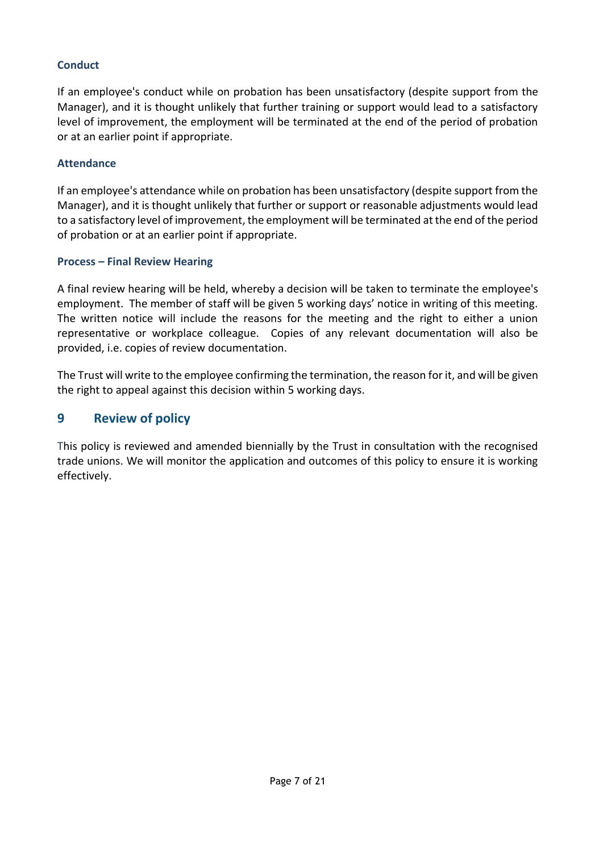#### **Conduct**

If an employee's conduct while on probation has been unsatisfactory (despite support from the Manager), and it is thought unlikely that further training or support would lead to a satisfactory level of improvement, the employment will be terminated at the end of the period of probation or at an earlier point if appropriate.

#### **Attendance**

If an employee's attendance while on probation has been unsatisfactory (despite support from the Manager), and it is thought unlikely that further or support or reasonable adjustments would lead to a satisfactory level of improvement, the employment will be terminated at the end of the period of probation or at an earlier point if appropriate.

#### **Process – Final Review Hearing**

A final review hearing will be held, whereby a decision will be taken to terminate the employee's employment. The member of staff will be given 5 working days' notice in writing of this meeting. The written notice will include the reasons for the meeting and the right to either a union representative or workplace colleague. Copies of any relevant documentation will also be provided, i.e. copies of review documentation.

The Trust will write to the employee confirming the termination, the reason for it, and will be given the right to appeal against this decision within 5 working days.

#### <span id="page-6-0"></span>**9 Review of policy**

This policy is reviewed and amended biennially by the Trust in consultation with the recognised trade unions. We will monitor the application and outcomes of this policy to ensure it is working effectively.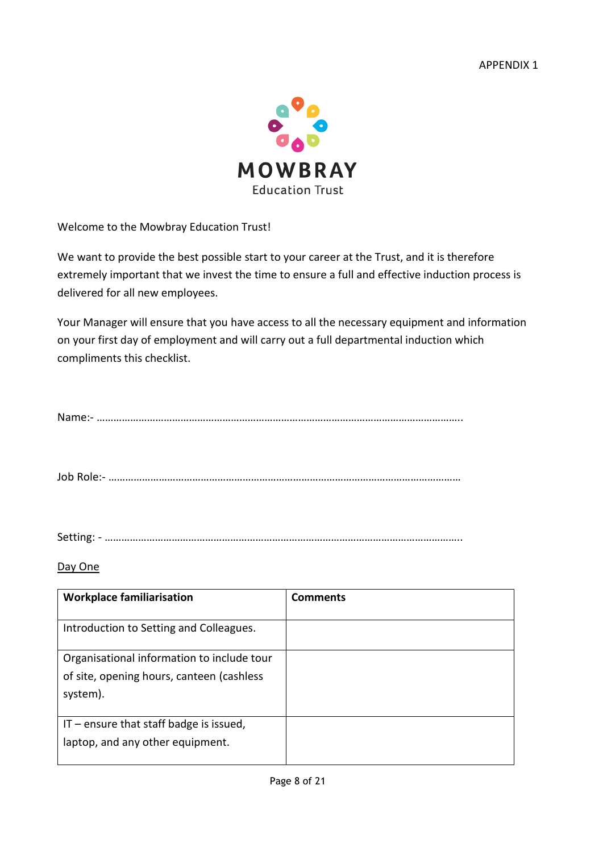

Welcome to the Mowbray Education Trust!

We want to provide the best possible start to your career at the Trust, and it is therefore extremely important that we invest the time to ensure a full and effective induction process is delivered for all new employees.

Your Manager will ensure that you have access to all the necessary equipment and information on your first day of employment and will carry out a full departmental induction which compliments this checklist.

|--|

Job Role:- ………………………………………………………………………………………………………………

Setting: - ………………………………………………………………………………………………………………..

#### Day One

| <b>Workplace familiarisation</b>                                                                    | <b>Comments</b> |
|-----------------------------------------------------------------------------------------------------|-----------------|
| Introduction to Setting and Colleagues.                                                             |                 |
| Organisational information to include tour<br>of site, opening hours, canteen (cashless<br>system). |                 |
| $IT$ – ensure that staff badge is issued,<br>laptop, and any other equipment.                       |                 |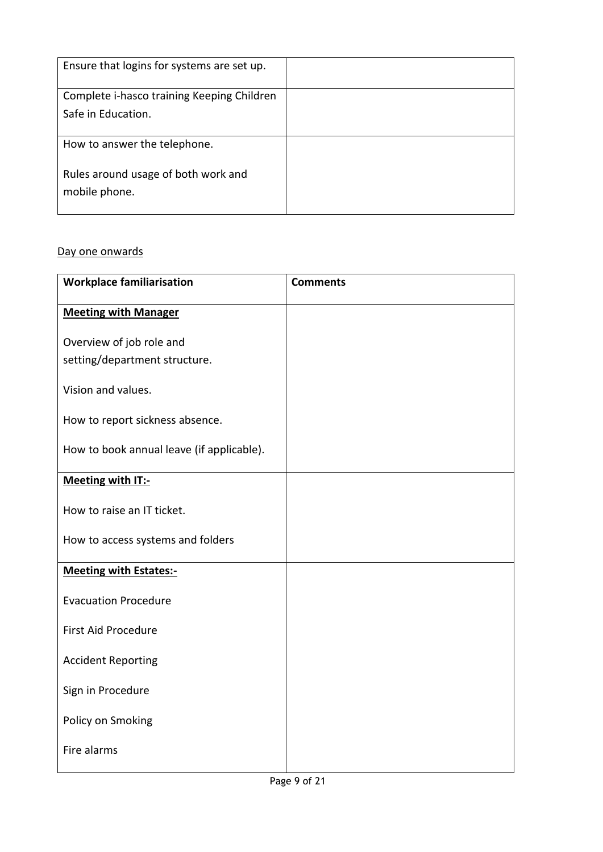| Ensure that logins for systems are set up.           |  |
|------------------------------------------------------|--|
| Complete i-hasco training Keeping Children           |  |
| Safe in Education.                                   |  |
|                                                      |  |
| How to answer the telephone.                         |  |
| Rules around usage of both work and<br>mobile phone. |  |

#### Day one onwards

| <b>Workplace familiarisation</b>          | <b>Comments</b> |
|-------------------------------------------|-----------------|
| <b>Meeting with Manager</b>               |                 |
| Overview of job role and                  |                 |
| setting/department structure.             |                 |
| Vision and values.                        |                 |
| How to report sickness absence.           |                 |
| How to book annual leave (if applicable). |                 |
| Meeting with IT:-                         |                 |
| How to raise an IT ticket.                |                 |
| How to access systems and folders         |                 |
| <b>Meeting with Estates:-</b>             |                 |
| <b>Evacuation Procedure</b>               |                 |
| <b>First Aid Procedure</b>                |                 |
| <b>Accident Reporting</b>                 |                 |
| Sign in Procedure                         |                 |
| Policy on Smoking                         |                 |
| Fire alarms                               |                 |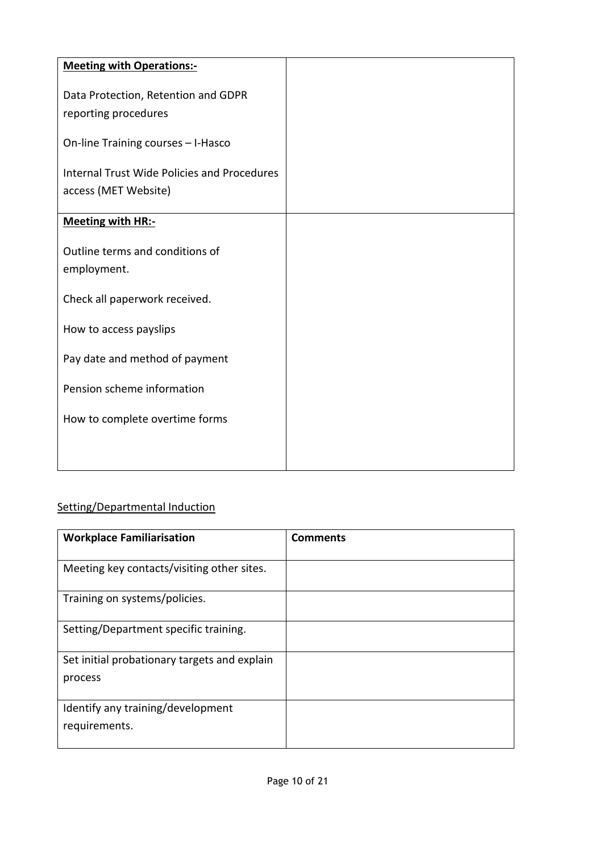| <b>Meeting with Operations:-</b>                   |  |
|----------------------------------------------------|--|
|                                                    |  |
| Data Protection, Retention and GDPR                |  |
| reporting procedures                               |  |
| On-line Training courses - I-Hasco                 |  |
| <b>Internal Trust Wide Policies and Procedures</b> |  |
| access (MET Website)                               |  |
|                                                    |  |
| <b>Meeting with HR:-</b>                           |  |
|                                                    |  |
| Outline terms and conditions of                    |  |
| employment.                                        |  |
| Check all paperwork received.                      |  |
|                                                    |  |
| How to access payslips                             |  |
|                                                    |  |
| Pay date and method of payment                     |  |
|                                                    |  |
| Pension scheme information                         |  |
| How to complete overtime forms                     |  |
|                                                    |  |
|                                                    |  |
|                                                    |  |

# Setting/Departmental Induction

| <b>Workplace Familiarisation</b>             | <b>Comments</b> |
|----------------------------------------------|-----------------|
|                                              |                 |
| Meeting key contacts/visiting other sites.   |                 |
| Training on systems/policies.                |                 |
| Setting/Department specific training.        |                 |
| Set initial probationary targets and explain |                 |
| process                                      |                 |
| Identify any training/development            |                 |
| requirements.                                |                 |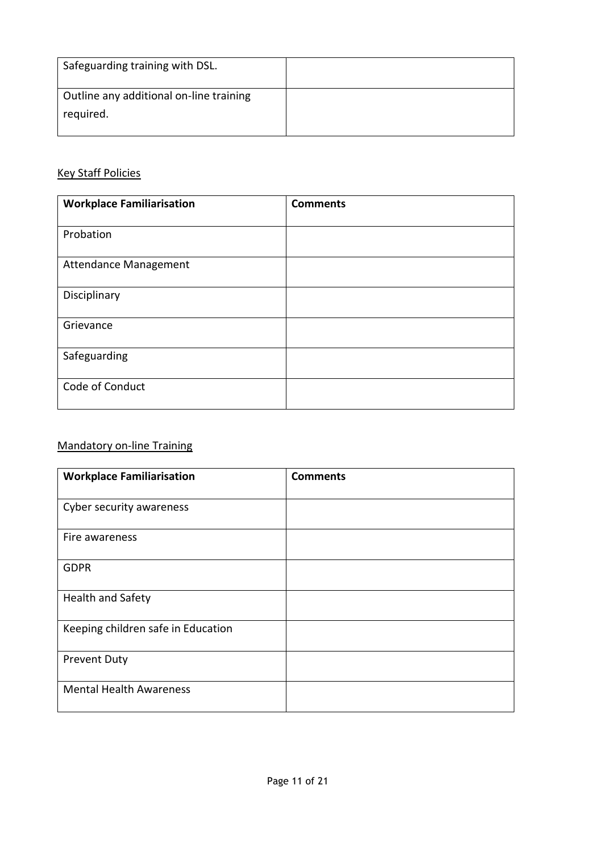| Safeguarding training with DSL.                      |  |
|------------------------------------------------------|--|
| Outline any additional on-line training<br>required. |  |

#### Key Staff Policies

| <b>Workplace Familiarisation</b> | <b>Comments</b> |
|----------------------------------|-----------------|
| Probation                        |                 |
| <b>Attendance Management</b>     |                 |
| Disciplinary                     |                 |
| Grievance                        |                 |
| Safeguarding                     |                 |
| Code of Conduct                  |                 |

# Mandatory on-line Training

| <b>Workplace Familiarisation</b>   | <b>Comments</b> |
|------------------------------------|-----------------|
| Cyber security awareness           |                 |
| Fire awareness                     |                 |
| <b>GDPR</b>                        |                 |
| <b>Health and Safety</b>           |                 |
| Keeping children safe in Education |                 |
| <b>Prevent Duty</b>                |                 |
| <b>Mental Health Awareness</b>     |                 |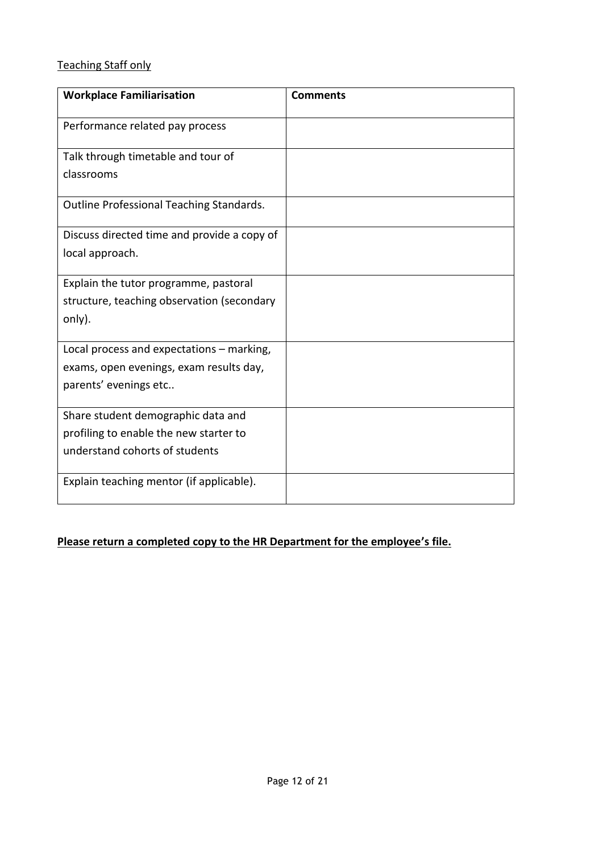# Teaching Staff only

| <b>Workplace Familiarisation</b>            | <b>Comments</b> |
|---------------------------------------------|-----------------|
| Performance related pay process             |                 |
| Talk through timetable and tour of          |                 |
| classrooms                                  |                 |
| Outline Professional Teaching Standards.    |                 |
| Discuss directed time and provide a copy of |                 |
| local approach.                             |                 |
| Explain the tutor programme, pastoral       |                 |
| structure, teaching observation (secondary  |                 |
| only).                                      |                 |
| Local process and expectations - marking,   |                 |
| exams, open evenings, exam results day,     |                 |
| parents' evenings etc                       |                 |
| Share student demographic data and          |                 |
| profiling to enable the new starter to      |                 |
| understand cohorts of students              |                 |
| Explain teaching mentor (if applicable).    |                 |

# **Please return a completed copy to the HR Department for the employee's file.**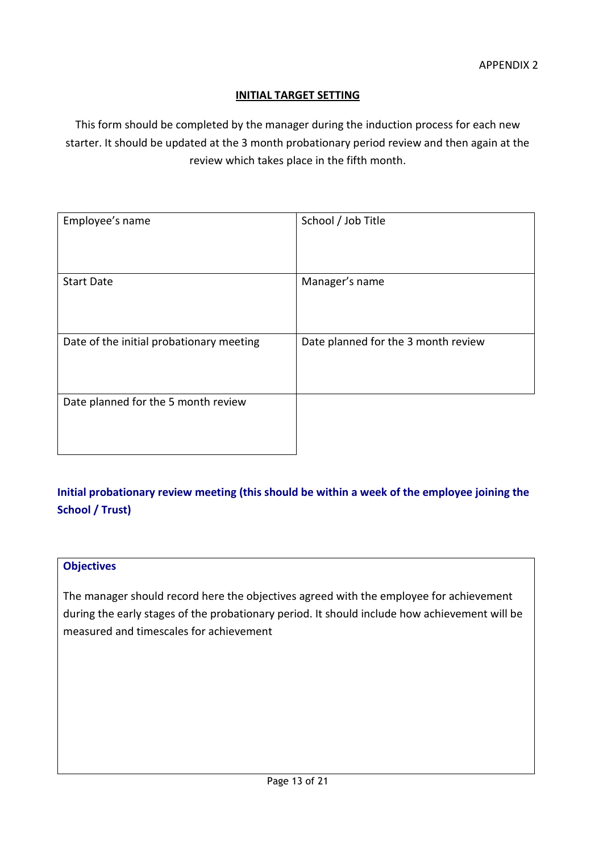#### **INITIAL TARGET SETTING**

This form should be completed by the manager during the induction process for each new starter. It should be updated at the 3 month probationary period review and then again at the review which takes place in the fifth month.

| Employee's name                          | School / Job Title                  |
|------------------------------------------|-------------------------------------|
| <b>Start Date</b>                        | Manager's name                      |
| Date of the initial probationary meeting | Date planned for the 3 month review |
| Date planned for the 5 month review      |                                     |

# **Initial probationary review meeting (this should be within a week of the employee joining the School / Trust)**

#### **Objectives**

The manager should record here the objectives agreed with the employee for achievement during the early stages of the probationary period. It should include how achievement will be measured and timescales for achievement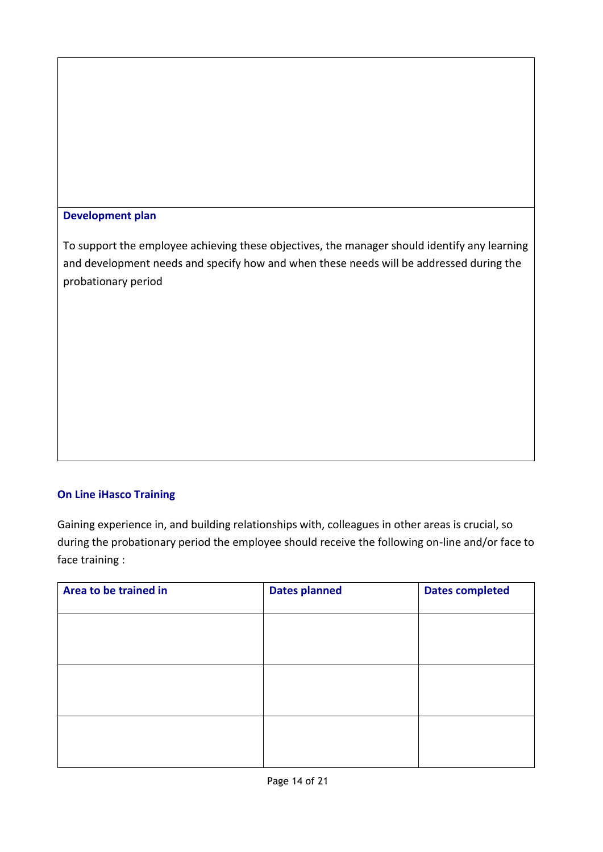#### **Development plan**

To support the employee achieving these objectives, the manager should identify any learning and development needs and specify how and when these needs will be addressed during the probationary period

#### **On Line iHasco Training**

Gaining experience in, and building relationships with, colleagues in other areas is crucial, so during the probationary period the employee should receive the following on-line and/or face to face training :

| Area to be trained in | <b>Dates planned</b> | <b>Dates completed</b> |
|-----------------------|----------------------|------------------------|
|                       |                      |                        |
|                       |                      |                        |
|                       |                      |                        |
|                       |                      |                        |
|                       |                      |                        |
|                       |                      |                        |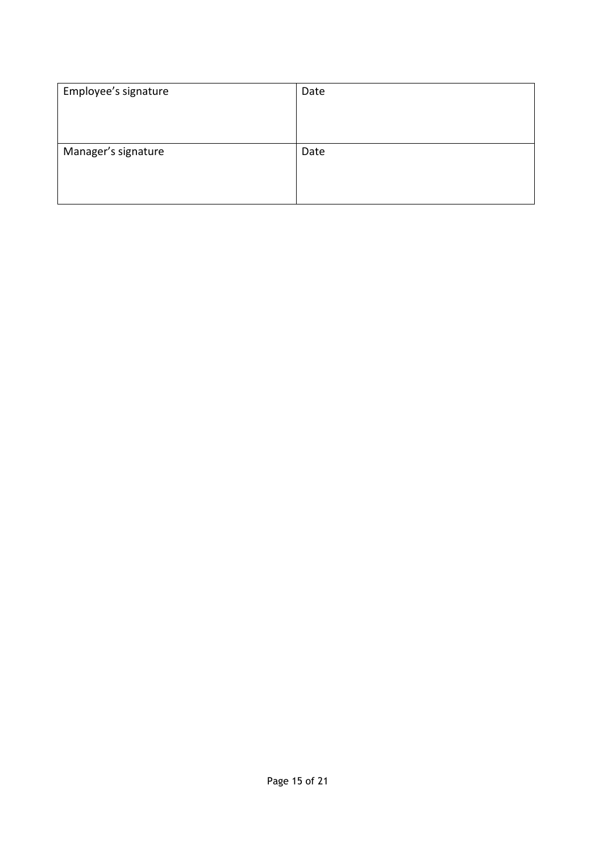| Employee's signature | Date |
|----------------------|------|
|                      |      |
|                      |      |
| Manager's signature  | Date |
|                      |      |
|                      |      |
|                      |      |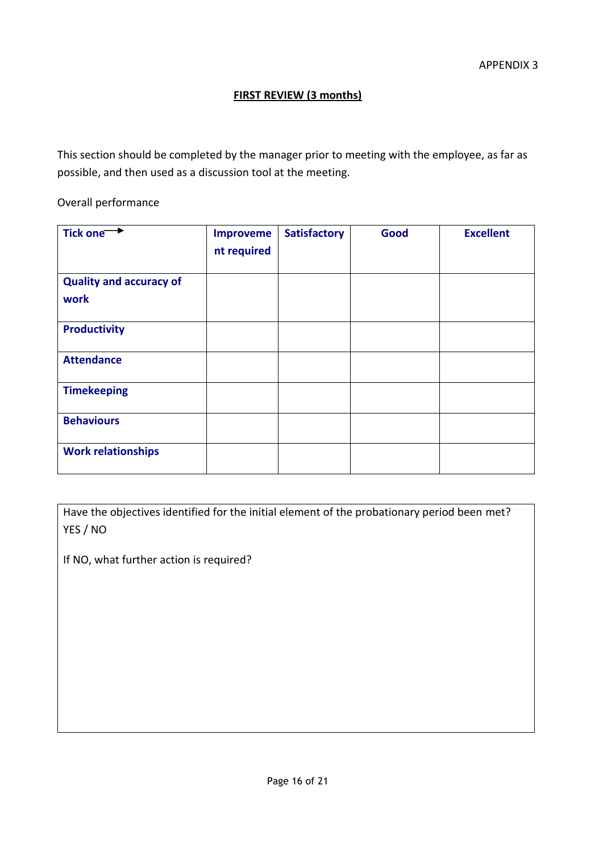#### **FIRST REVIEW (3 months)**

This section should be completed by the manager prior to meeting with the employee, as far as possible, and then used as a discussion tool at the meeting.

Overall performance

| Tick one <sup>++</sup>                 | <b>Improveme</b><br>nt required | <b>Satisfactory</b> | Good | <b>Excellent</b> |
|----------------------------------------|---------------------------------|---------------------|------|------------------|
| <b>Quality and accuracy of</b><br>work |                                 |                     |      |                  |
| <b>Productivity</b>                    |                                 |                     |      |                  |
| <b>Attendance</b>                      |                                 |                     |      |                  |
| <b>Timekeeping</b>                     |                                 |                     |      |                  |
| <b>Behaviours</b>                      |                                 |                     |      |                  |
| <b>Work relationships</b>              |                                 |                     |      |                  |

Have the objectives identified for the initial element of the probationary period been met? YES / NO

If NO, what further action is required?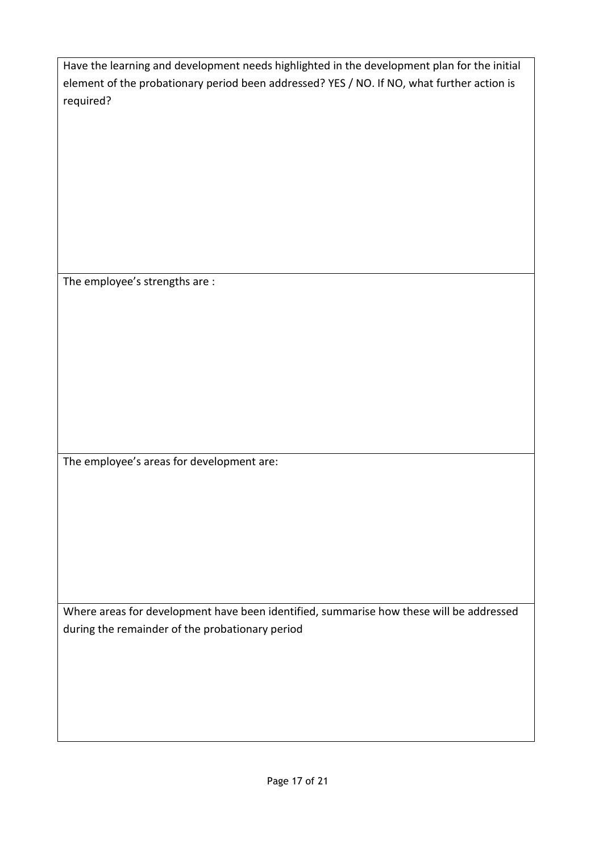| Have the learning and development needs highlighted in the development plan for the initial |
|---------------------------------------------------------------------------------------------|
| element of the probationary period been addressed? YES / NO. If NO, what further action is  |
| required?                                                                                   |

The employee's strengths are :

The employee's areas for development are:

Where areas for development have been identified, summarise how these will be addressed during the remainder of the probationary period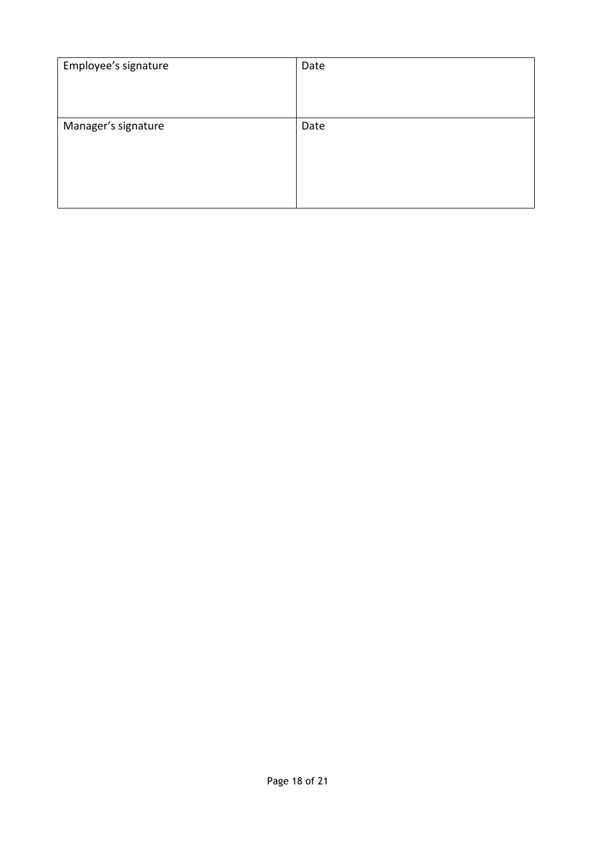| Employee's signature | Date |
|----------------------|------|
|                      |      |
| Manager's signature  | Date |
|                      |      |
|                      |      |
|                      |      |
|                      |      |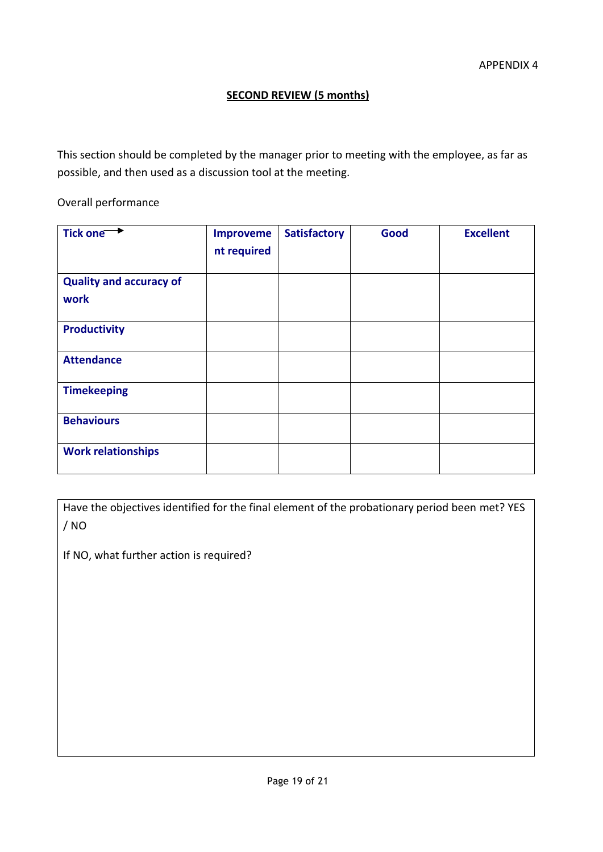#### **SECOND REVIEW (5 months)**

This section should be completed by the manager prior to meeting with the employee, as far as possible, and then used as a discussion tool at the meeting.

Overall performance

| Tick one <b>+</b>                      | <b>Improveme</b><br>nt required | <b>Satisfactory</b> | Good | <b>Excellent</b> |
|----------------------------------------|---------------------------------|---------------------|------|------------------|
| <b>Quality and accuracy of</b><br>work |                                 |                     |      |                  |
| <b>Productivity</b>                    |                                 |                     |      |                  |
| <b>Attendance</b>                      |                                 |                     |      |                  |
| <b>Timekeeping</b>                     |                                 |                     |      |                  |
| <b>Behaviours</b>                      |                                 |                     |      |                  |
| <b>Work relationships</b>              |                                 |                     |      |                  |

Have the objectives identified for the final element of the probationary period been met? YES / NO

If NO, what further action is required?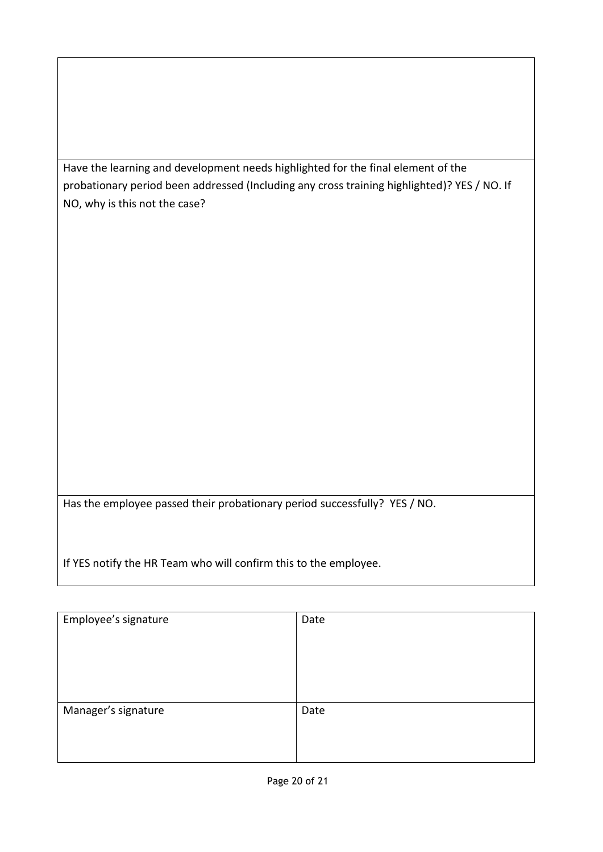Have the learning and development needs highlighted for the final element of the probationary period been addressed (Including any cross training highlighted)? YES / NO. If NO, why is this not the case?

Has the employee passed their probationary period successfully? YES / NO.

If YES notify the HR Team who will confirm this to the employee.

| Employee's signature | Date |
|----------------------|------|
| Manager's signature  | Date |